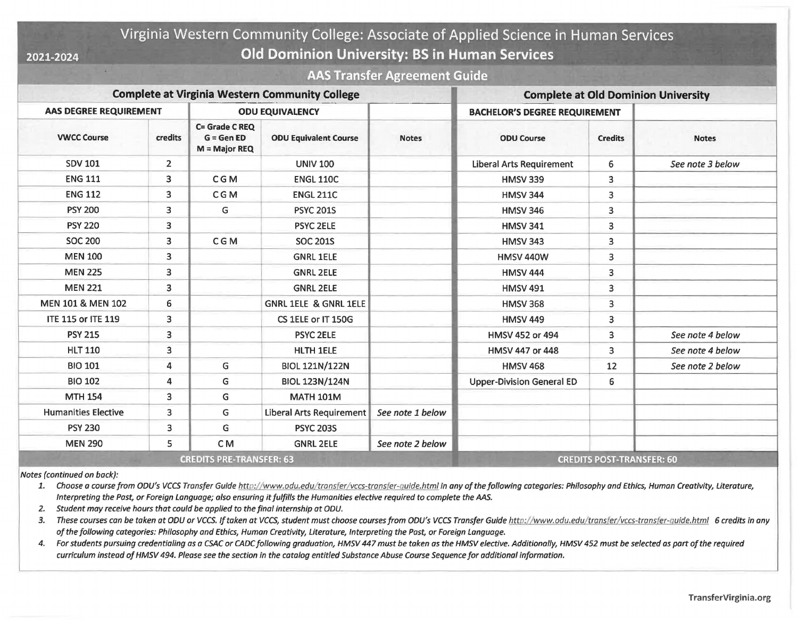## Virginia Western Community College: Associate of Applied Science in Human Services **2021-2024 Old Dominion University: BS in Human Services**

## **AAS Transfer Agreement Guide**

| <b>Complete at Virginia Western Community College</b> |                |                                                  |                                  |                  | <b>Complete at Old Dominion University</b> |                |                  |
|-------------------------------------------------------|----------------|--------------------------------------------------|----------------------------------|------------------|--------------------------------------------|----------------|------------------|
| <b>AAS DEGREE REQUIREMENT</b>                         |                | <b>ODU EQUIVALENCY</b>                           |                                  |                  | <b>BACHELOR'S DEGREE REQUIREMENT</b>       |                |                  |
| <b>VWCC Course</b>                                    | credits        | C= Grade C REQ<br>$G = GenED$<br>$M =$ Major REQ | <b>ODU Equivalent Course</b>     | <b>Notes</b>     | <b>ODU Course</b>                          | <b>Credits</b> | <b>Notes</b>     |
| <b>SDV 101</b>                                        | $\overline{2}$ |                                                  | <b>UNIV 100</b>                  |                  | <b>Liberal Arts Requirement</b>            | 6              | See note 3 below |
| <b>ENG 111</b>                                        | 3              | <b>CGM</b>                                       | <b>ENGL 110C</b>                 |                  | <b>HMSV 339</b>                            | 3              |                  |
| <b>ENG 112</b>                                        | 3              | <b>CGM</b>                                       | <b>ENGL 211C</b>                 |                  | <b>HMSV 344</b>                            | 3              |                  |
| <b>PSY 200</b>                                        | 3              | G                                                | <b>PSYC 201S</b>                 |                  | <b>HMSV 346</b>                            | 3              |                  |
| <b>PSY 220</b>                                        | 3              |                                                  | <b>PSYC 2ELE</b>                 |                  | <b>HMSV 341</b>                            | 3              |                  |
| <b>SOC 200</b>                                        | 3              | <b>CGM</b>                                       | <b>SOC 201S</b>                  |                  | <b>HMSV 343</b>                            | 3              |                  |
| <b>MEN 100</b>                                        | 3              |                                                  | <b>GNRL 1ELE</b>                 |                  | <b>HMSV 440W</b>                           | 3              |                  |
| <b>MEN 225</b>                                        | 3              |                                                  | <b>GNRL 2ELE</b>                 |                  | <b>HMSV 444</b>                            | 3              |                  |
| <b>MEN 221</b>                                        | 3              |                                                  | <b>GNRL 2ELE</b>                 |                  | <b>HMSV 491</b>                            | 3              |                  |
| MEN 101 & MEN 102                                     | 6              |                                                  | <b>GNRL 1ELE &amp; GNRL 1ELE</b> |                  | <b>HMSV 368</b>                            | 3              |                  |
| <b>ITE 115 or ITE 119</b>                             | 3              |                                                  | CS 1ELE or IT 150G               |                  | <b>HMSV 449</b>                            | 3              |                  |
| <b>PSY 215</b>                                        | 3              |                                                  | <b>PSYC 2ELE</b>                 |                  | HMSV 452 or 494                            | 3              | See note 4 below |
| <b>HLT 110</b>                                        | 3              |                                                  | <b>HLTH 1ELE</b>                 |                  | HMSV 447 or 448                            | 3              | See note 4 below |
| <b>BIO 101</b>                                        | 4              | G                                                | <b>BIOL 121N/122N</b>            |                  | <b>HMSV 468</b>                            | 12             | See note 2 below |
| <b>BIO 102</b>                                        | 4              | G                                                | <b>BIOL 123N/124N</b>            |                  | <b>Upper-Division General ED</b>           | 6              |                  |
| <b>MTH 154</b>                                        | 3              | G                                                | <b>MATH 101M</b>                 |                  |                                            |                |                  |
| <b>Humanities Elective</b>                            | 3              | G                                                | <b>Liberal Arts Requirement</b>  | See note 1 below |                                            |                |                  |
| <b>PSY 230</b>                                        | 3              | G                                                | <b>PSYC 203S</b>                 |                  |                                            |                |                  |
| <b>MEN 290</b>                                        | 5.             | C <sub>M</sub>                                   | <b>GNRL 2ELE</b>                 | See note 2 below |                                            |                |                  |

*Notes (continued on back):* 

*1. Choose a course from ODU's VCCS Transfer Guide [http://www.odu.edu/transfer/](http://www.odu.edu/transfer/vccs-transfer-guide.html) vccs-transfer-guide.html in any of the following categories: Philosophy and Ethics, Human Creativity, Literature, Interpreting the Past, or Foreign language; also ensuring itfulfills the Humanities elective required to complete the AAS.* 

*2. Student may receive hours that could be applied to the final internship at ODU.* 

*3. These courses can be taken at ODU or VCCS. If taken at VCCS, student must choose courses from ODU's VCCS Transfer Guide [http://www.odu.edu/](http://www.odu.edu) transfer/ vccs-transfer-guide.html 6 credits in any ofthe following categories: Philosophy and Ethics, Human Creativity, Literature, Interpreting the Past, or Foreign language.* 

*4. For students pursuing credentialing as a CSAC or CADC following graduation, HMSV 447 must be taken as the HMSV elective. Additionally, HMSV 452 must be selected as part ofthe required curriculum instead of HMSV 494. Please see the section in the catalog entitled Substance Abuse Course Sequence for additional information.*